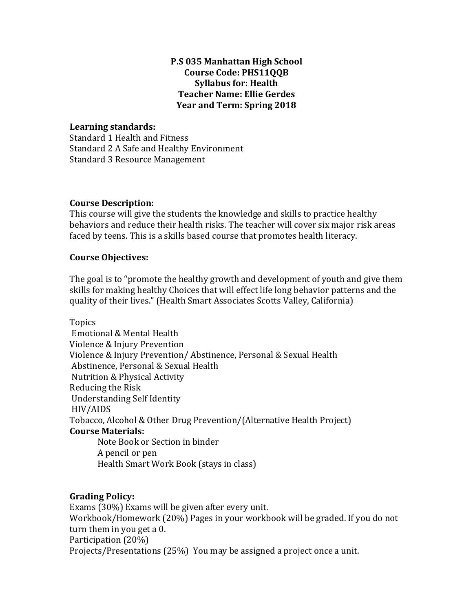# **P.S 035 Manhattan High School Course Code: PHS11QQB Syllabus for: Health Teacher Name: Ellie Gerdes Year and Term: Spring 2018**

### **Learning standards:**

Standard 1 Health and Fitness Standard 2 A Safe and Healthy Environment Standard 3 Resource Management

#### **Course Description:**

This course will give the students the knowledge and skills to practice healthy behaviors and reduce their health risks. The teacher will cover six major risk areas faced by teens. This is a skills based course that promotes health literacy.

#### **Course Objectives:**

The goal is to "promote the healthy growth and development of youth and give them skills for making healthy Choices that will effect life long behavior patterns and the quality of their lives." (Health Smart Associates Scotts Valley, California)

Topics Emotional & Mental Health Violence & Injury Prevention Violence & Injury Prevention/ Abstinence, Personal & Sexual Health Abstinence, Personal & Sexual Health Nutrition & Physical Activity Reducing the Risk Understanding Self Identity HIV/AIDS Tobacco, Alcohol & Other Drug Prevention/(Alternative Health Project) **Course Materials:** Note Book or Section in binder A pencil or pen Health Smart Work Book (stays in class)

## **Grading Policy:**

Exams (30%) Exams will be given after every unit. Workbook/Homework (20%) Pages in your workbook will be graded. If you do not turn them in you get a 0. Participation (20%) Projects/Presentations (25%) You may be assigned a project once a unit.